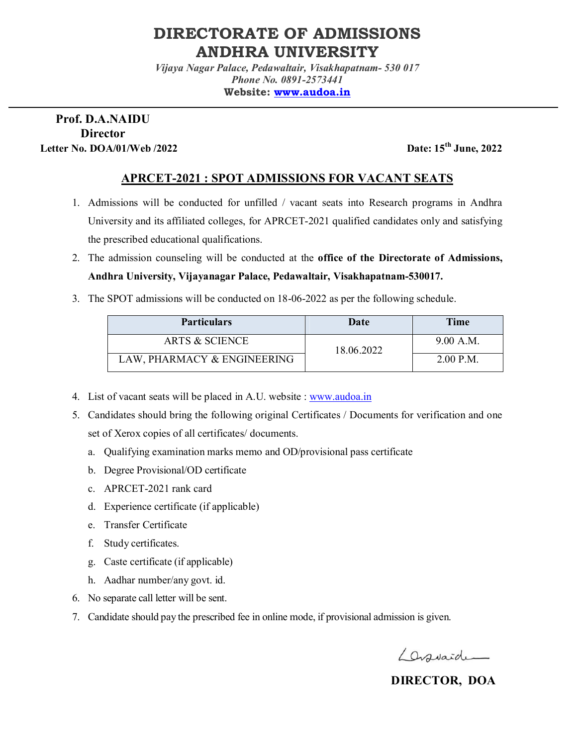# **DIRECTORATE OF ADMISSIONS ANDHRA UNIVERSITY**

*Vijaya Nagar Palace, Pedawaltair, Visakhapatnam- 530 017 Phone No. 0891-2573441*  **Website: www.audoa.in**

### **Prof. D.A.NAIDU Director Letter No. DOA/01/Web /2022 Date: 15th June, 2022**

## **APRCET-2021 : SPOT ADMISSIONS FOR VACANT SEATS**

- 1. Admissions will be conducted for unfilled / vacant seats into Research programs in Andhra University and its affiliated colleges, for APRCET-2021 qualified candidates only and satisfying the prescribed educational qualifications.
- 2. The admission counseling will be conducted at the **office of the Directorate of Admissions, Andhra University, Vijayanagar Palace, Pedawaltair, Visakhapatnam-530017.**
- 3. The SPOT admissions will be conducted on 18-06-2022 as per the following schedule.

| <b>Particulars</b>          | Date       | <b>Time</b> |
|-----------------------------|------------|-------------|
| <b>ARTS &amp; SCIENCE</b>   | 18.06.2022 | 9.00 A.M.   |
| LAW, PHARMACY & ENGINEERING |            | $2.00$ P.M. |

- 4. List of vacant seats will be placed in A.U. website : www.audoa.in
- 5. Candidates should bring the following original Certificates / Documents for verification and one set of Xerox copies of all certificates/ documents.
	- a. Qualifying examination marks memo and OD/provisional pass certificate
	- b. Degree Provisional/OD certificate
	- c. APRCET-2021 rank card
	- d. Experience certificate (if applicable)
	- e. Transfer Certificate
	- f. Study certificates.
	- g. Caste certificate (if applicable)
	- h. Aadhar number/any govt. id.
- 6. No separate call letter will be sent.
- 7. Candidate should pay the prescribed fee in online mode, if provisional admission is given.

Lassaide

 **DIRECTOR, DOA**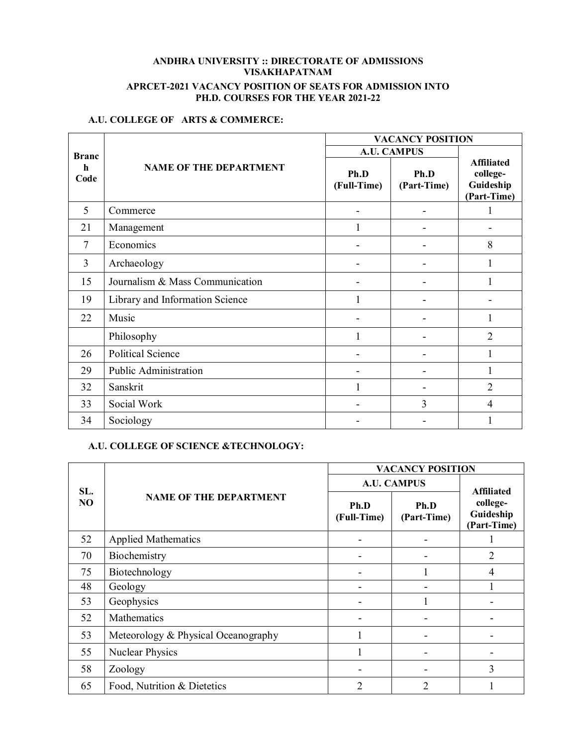#### **ANDHRA UNIVERSITY :: DIRECTORATE OF ADMISSIONS VISAKHAPATNAM APRCET-2021 VACANCY POSITION OF SEATS FOR ADMISSION INTO PH.D. COURSES FOR THE YEAR 2021-22**

#### **A.U. COLLEGE OF ARTS & COMMERCE:**

|                     | <b>NAME OF THE DEPARTMENT</b>   | <b>VACANCY POSITION</b> |                     |                                                           |
|---------------------|---------------------------------|-------------------------|---------------------|-----------------------------------------------------------|
| <b>Branc</b>        |                                 | <b>A.U. CAMPUS</b>      |                     |                                                           |
| $\mathbf h$<br>Code |                                 | Ph.D<br>(Full-Time)     | Ph.D<br>(Part-Time) | <b>Affiliated</b><br>college-<br>Guideship<br>(Part-Time) |
| 5                   | Commerce                        |                         |                     |                                                           |
| 21                  | Management                      |                         |                     |                                                           |
| 7                   | Economics                       |                         |                     | 8                                                         |
| 3                   | Archaeology                     |                         |                     |                                                           |
| 15                  | Journalism & Mass Communication |                         |                     |                                                           |
| 19                  | Library and Information Science |                         |                     |                                                           |
| 22                  | Music                           |                         |                     |                                                           |
|                     | Philosophy                      |                         |                     | 2                                                         |
| 26                  | <b>Political Science</b>        |                         |                     |                                                           |
| 29                  | Public Administration           |                         |                     |                                                           |
| 32                  | Sanskrit                        |                         |                     | $\overline{2}$                                            |
| 33                  | Social Work                     |                         | 3                   | 4                                                         |
| 34                  | Sociology                       |                         |                     |                                                           |

#### **A.U. COLLEGE OF SCIENCE &TECHNOLOGY:**

| SL.<br>N <sub>O</sub> | <b>NAME OF THE DEPARTMENT</b>       | <b>VACANCY POSITION</b> |                     |                                      |
|-----------------------|-------------------------------------|-------------------------|---------------------|--------------------------------------|
|                       |                                     | <b>A.U. CAMPUS</b>      |                     | <b>Affiliated</b>                    |
|                       |                                     | Ph.D<br>(Full-Time)     | Ph.D<br>(Part-Time) | college-<br>Guideship<br>(Part-Time) |
| 52                    | <b>Applied Mathematics</b>          |                         |                     |                                      |
| 70                    | Biochemistry                        |                         |                     | 2                                    |
| 75                    | Biotechnology                       |                         |                     | 4                                    |
| 48                    | Geology                             |                         |                     |                                      |
| 53                    | Geophysics                          |                         |                     |                                      |
| 52                    | Mathematics                         |                         |                     |                                      |
| 53                    | Meteorology & Physical Oceanography |                         |                     |                                      |
| 55                    | <b>Nuclear Physics</b>              |                         |                     |                                      |
| 58                    | Zoology                             |                         | -                   | 3                                    |
| 65                    | Food, Nutrition & Dietetics         | 2                       | $\overline{c}$      |                                      |